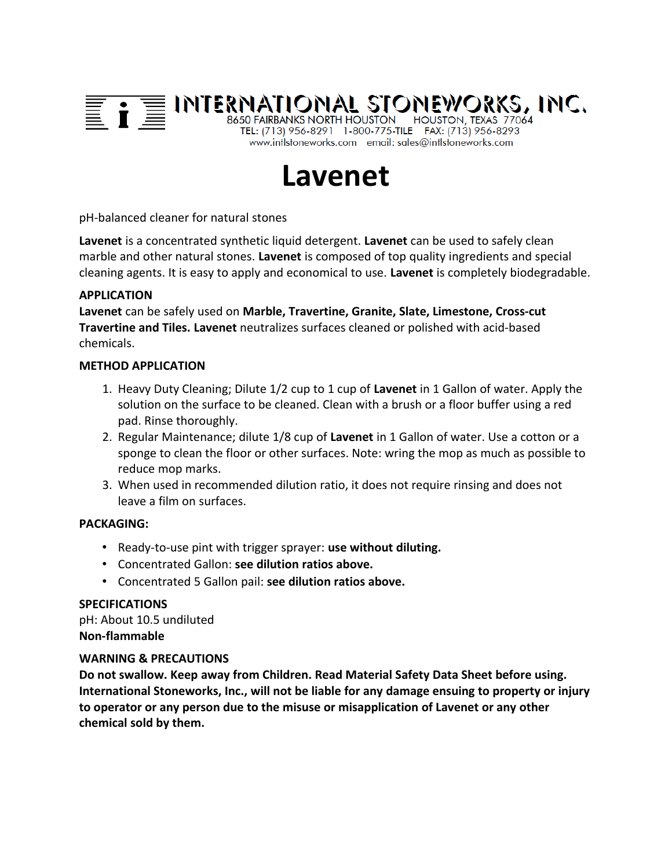

# **Lavenet**

pH-balanced cleaner for natural stones

**Lavenet** is a concentrated synthetic liquid detergent. **Lavenet** can be used to safely clean marble and other natural stones. **Lavenet** is composed of top quality ingredients and special cleaning agents. It is easy to apply and economical to use. **Lavenet** is completely biodegradable.

# **APPLICATION**

**Lavenet** can be safely used on **Marble, Travertine, Granite, Slate, Limestone, Cross-cut Travertine and Tiles. Lavenet** neutralizes surfaces cleaned or polished with acid-based chemicals.

### **METHOD APPLICATION**

- 1. Heavy Duty Cleaning; Dilute 1/2 cup to 1 cup of **Lavenet** in 1 Gallon of water. Apply the solution on the surface to be cleaned. Clean with a brush or a floor buffer using a red pad. Rinse thoroughly.
- 2. Regular Maintenance; dilute 1/8 cup of **Lavenet** in 1 Gallon of water. Use a cotton or a sponge to clean the floor or other surfaces. Note: wring the mop as much as possible to reduce mop marks.
- 3. When used in recommended dilution ratio, it does not require rinsing and does not leave a film on surfaces.

# **PACKAGING:**

- Ready-to-use pint with trigger sprayer: **use without diluting.**
- Concentrated Gallon: **see dilution ratios above.**
- Concentrated 5 Gallon pail: **see dilution ratios above.**

#### **SPECIFICATIONS**

pH: About 10.5 undiluted **Non-flammable**

### **WARNING & PRECAUTIONS**

**Do not swallow. Keep away from Children. Read Material Safety Data Sheet before using. International Stoneworks, Inc., will not be liable for any damage ensuing to property or injury to operator or any person due to the misuse or misapplication of Lavenet or any other chemical sold by them.**